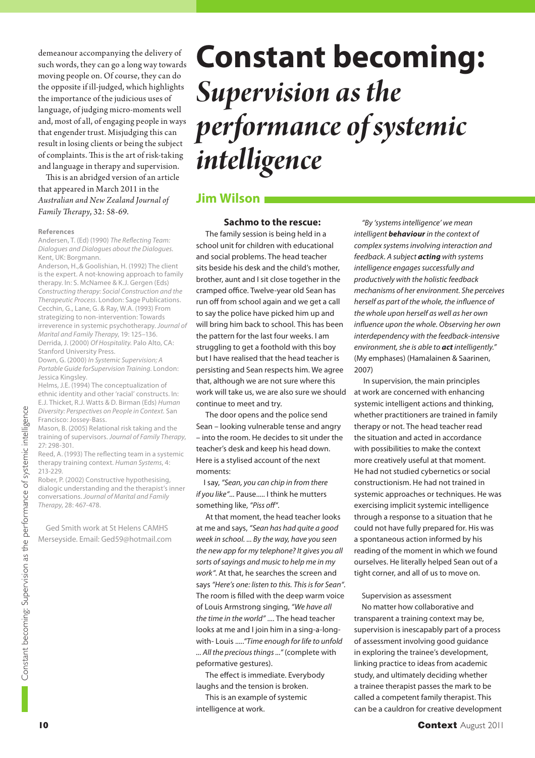demeanour accompanying the delivery of such words, they can go a long way towards moving people on. Of course, they can do the opposite if ill-judged, which highlights the importance of the judicious uses of language, of judging micro-moments well and, most of all, of engaging people in ways that engender trust. Misjudging this can result in losing clients or being the subject of complaints. This is the art of risk-taking and language in therapy and supervision.

This is an abridged version of an article that appeared in March 2011 in the *Australian and New Zealand Journal of Family Th erapy*, 32: 58-69.

#### **References**

Andersen, T. (Ed) (1990) The Reflecting Team: Dialogues and Dialogues about the Dialogues. Kent, UK: Borgmann.

Anderson, H.,& Goolishian, H. (1992) The client is the expert. A not-knowing approach to family therapy. In: S. McNamee & K.J. Gergen (Eds) Constructing therapy: Social Construction and the Therapeutic Process. London: Sage Publications. Cecchin, G., Lane, G. & Ray, W.A. (1993) From strategizing to non-intervention: Towards irreverence in systemic psychotherapy. Journal of Marital and Family Therapy, 19: 125–136. Derrida, J. (2000) Of Hospitality. Palo Alto, CA: Stanford University Press.

Down, G. (2000) In Systemic Supervision; A Portable Guide forSupervision Training. London: Jessica Kingsley.

Helms, J.E. (1994) The conceptualization of ethnic identity and other 'racial' constructs. In: E.J. Thicket, R.J. Watts & D. Birman (Eds) Human Diversity: Perspectives on People in Context. San Francisco: Jossey-Bass.

Mason, B. (2005) Relational risk taking and the training of supervisors. Journal of Family Therapy, 27: 298-301.

Reed, A. (1993) The reflecting team in a systemic therapy training context. Human Systems, 4: 213-229.

Rober, P. (2002) Constructive hypothesising, dialogic understanding and the therapist's inner conversations. Journal of Marital and Family Therapy, 28: 467-478.

Ged Smith work at St Helens CAMHS Merseyside. Email: Ged59@hotmail.com

# **Constant becoming:**  *Supervision as the intelligence intelligence* **Jim Wilson**

#### **Sachmo to the rescue:**

 The family session is being held in a school unit for children with educational and social problems. The head teacher sits beside his desk and the child's mother, brother, aunt and I sit close together in the cramped office. Twelve-year old Sean has run off from school again and we get a call to say the police have picked him up and will bring him back to school. This has been the pattern for the last four weeks. I am struggling to get a foothold with this boy but I have realised that the head teacher is persisting and Sean respects him. We agree that, although we are not sure where this work will take us, we are also sure we should continue to meet and try.

 The door opens and the police send Sean – looking vulnerable tense and angry – into the room. He decides to sit under the teacher's desk and keep his head down. Here is a stylised account of the next moments:

I say, "Sean, you can chip in from there if you like"... Pause..... I think he mutters something like, "Piss off".

 At that moment, the head teacher looks at me and says, "Sean has had quite a good week in school. ... By the way, have you seen the new app for my telephone? It gives you all sorts of sayings and music to help me in my work". At that, he searches the screen and says "Here's one: listen to this. This is for Sean". The room is filled with the deep warm voice of Louis Armstrong singing, "We have all the time in the world" .... The head teacher looks at me and I join him in a sing-a-longwith- Louis ....."Time enough for life to unfold ... All the precious things ..." (complete with peformative gestures).

The effect is immediate. Everybody laughs and the tension is broken.

 This is an example of systemic intelligence at work.

"By 'systems intelligence' we mean intelligent *behaviour* in the context of complex systems involving interaction and feedback. A subject *acting* with systems intelligence engages successfully and productively with the holistic feedback mechanisms of her environment. She perceives herself as part of the whole, the influence of the whole upon herself as well as her own influence upon the whole. Observing her own interdependency with the feedback-intensive environment, she is able to *act* intelligently." (My emphases) (Hamalainen & Saarinen, 2007)

 In supervision, the main principles at work are concerned with enhancing systemic intelligent actions and thinking, whether practitioners are trained in family therapy or not. The head teacher read the situation and acted in accordance with possibilities to make the context more creatively useful at that moment. He had not studied cybernetics or social constructionism. He had not trained in systemic approaches or techniques. He was exercising implicit systemic intelligence through a response to a situation that he could not have fully prepared for. His was a spontaneous action informed by his reading of the moment in which we found ourselves. He literally helped Sean out of a tight corner, and all of us to move on.

Supervision as assessment

No matter how collaborative and transparent a training context may be, supervision is inescapably part of a process of assessment involving good guidance in exploring the trainee's development, linking practice to ideas from academic study, and ultimately deciding whether a trainee therapist passes the mark to be called a competent family therapist. This can be a cauldron for creative development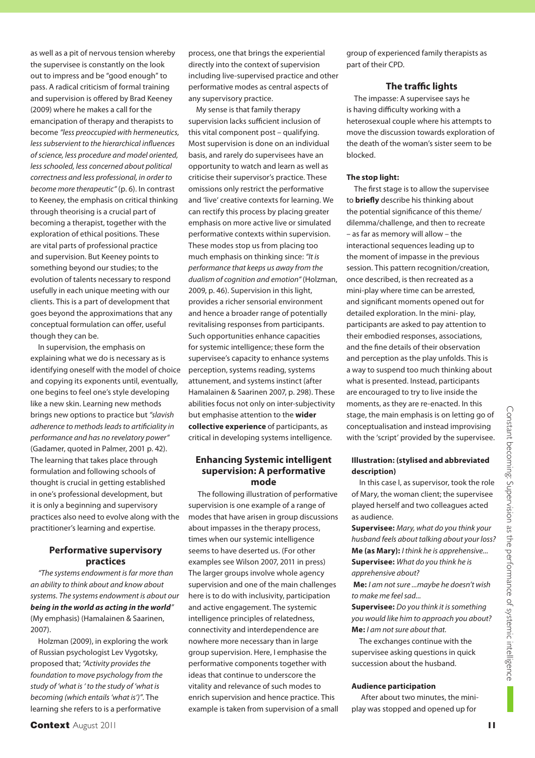as well as a pit of nervous tension whereby the supervisee is constantly on the look out to impress and be "good enough" to pass. A radical criticism of formal training and supervision is offered by Brad Keeney (2009) where he makes a call for the emancipation of therapy and therapists to become "less preoccupied with hermeneutics, less subservient to the hierarchical influences of science, less procedure and model oriented, less schooled, less concerned about political correctness and less professional, in order to become more therapeutic" (p. 6). In contrast to Keeney, the emphasis on critical thinking through theorising is a crucial part of becoming a therapist, together with the exploration of ethical positions. These are vital parts of professional practice and supervision. But Keeney points to something beyond our studies; to the evolution of talents necessary to respond usefully in each unique meeting with our clients. This is a part of development that goes beyond the approximations that any conceptual formulation can offer, useful though they can be.

In supervision, the emphasis on explaining what we do is necessary as is identifying oneself with the model of choice and copying its exponents until, eventually, one begins to feel one's style developing like a new skin. Learning new methods brings new options to practice but "slavish adherence to methods leads to artificiality in performance and has no revelatory power" (Gadamer, quoted in Palmer, 2001 p. 42). The learning that takes place through formulation and following schools of thought is crucial in getting established in one's professional development, but it is only a beginning and supervisory practices also need to evolve along with the practitioner's learning and expertise.

#### **Performative supervisory practices**

"The systems endowment is far more than an ability to think about and know about systems. The systems endowment is about our *being in the world as acting in the world*" (My emphasis) (Hamalainen & Saarinen, 2007).

Holzman (2009), in exploring the work of Russian psychologist Lev Vygotsky, proposed that; "Activity provides the foundation to move psychology from the study of 'what is ' to the study of 'what is becoming (which entails 'what is')". The learning she refers to is a performative

**Context** August 2011 **11** 

process, one that brings the experiential directly into the context of supervision including live-supervised practice and other performative modes as central aspects of any supervisory practice.

My sense is that family therapy supervision lacks sufficient inclusion of this vital component post – qualifying. Most supervision is done on an individual basis, and rarely do supervisees have an opportunity to watch and learn as well as criticise their supervisor's practice. These omissions only restrict the performative and 'live' creative contexts for learning. We can rectify this process by placing greater emphasis on more active live or simulated performative contexts within supervision. These modes stop us from placing too much emphasis on thinking since: "It is performance that keeps us away from the dualism of cognition and emotion" (Holzman, 2009, p. 46). Supervision in this light, provides a richer sensorial environment and hence a broader range of potentially revitalising responses from participants. Such opportunities enhance capacities for systemic intelligence; these form the supervisee's capacity to enhance systems perception, systems reading, systems attunement, and systems instinct (after Hamalainen & Saarinen 2007, p. 298). These abilities focus not only on inter-subjectivity but emphasise attention to the **wider collective experience** of participants, as critical in developing systems intelligence.

### **Enhancing Systemic intelligent supervision: A performative mode**

 The following illustration of performative supervision is one example of a range of modes that have arisen in group discussions about impasses in the therapy process, times when our systemic intelligence seems to have deserted us. (For other examples see Wilson 2007, 2011 in press) The larger groups involve whole agency supervision and one of the main challenges here is to do with inclusivity, participation and active engagement. The systemic intelligence principles of relatedness, connectivity and interdependence are nowhere more necessary than in large group supervision. Here, I emphasise the performative components together with ideas that continue to underscore the vitality and relevance of such modes to enrich supervision and hence practice. This example is taken from supervision of a small

group of experienced family therapists as part of their CPD.

# **The traffic lights**

The impasse: A supervisee says he is having difficulty working with a heterosexual couple where his attempts to move the discussion towards exploration of the death of the woman's sister seem to be blocked.

#### **The stop light:**

The first stage is to allow the supervisee to **briefly** describe his thinking about the potential significance of this theme/ dilemma/challenge, and then to recreate – as far as memory will allow – the interactional sequences leading up to the moment of impasse in the previous session. This pattern recognition/creation, once described, is then recreated as a mini-play where time can be arrested, and significant moments opened out for detailed exploration. In the mini- play, participants are asked to pay attention to their embodied responses, associations, and the fine details of their observation and perception as the play unfolds. This is a way to suspend too much thinking about what is presented. Instead, participants are encouraged to try to live inside the moments, as they are re-enacted. In this stage, the main emphasis is on letting go of conceptualisation and instead improvising with the 'script' provided by the supervisee.

#### **Illustration: (stylised and abbreviated description)**

In this case I, as supervisor, took the role of Mary, the woman client; the supervisee played herself and two colleagues acted as audience.

**Supervisee:** Mary, what do you think your husband feels about talking about your loss? **Me (as Mary):** I think he is apprehensive... **Supervisee:** What do you think he is apprehensive about?

**Me:** I am not sure ...maybe he doesn't wish to make me feel sad...

**Supervisee:** Do you think it is something you would like him to approach you about? **Me:** I am not sure about that.

The exchanges continue with the supervisee asking questions in quick succession about the husband.

#### **Audience participation**

 After about two minutes, the miniplay was stopped and opened up for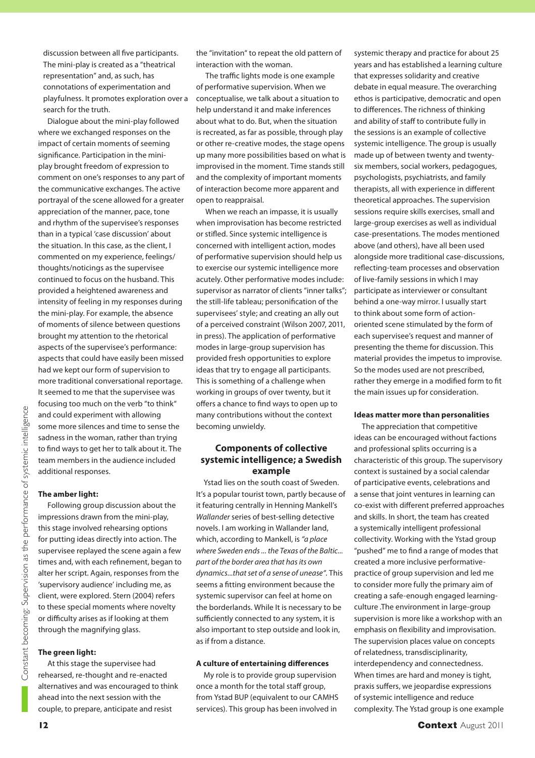discussion between all five participants. The mini-play is created as a "theatrical representation" and, as such, has connotations of experimentation and playfulness. It promotes exploration over a search for the truth.

 Dialogue about the mini-play followed where we exchanged responses on the impact of certain moments of seeming significance. Participation in the miniplay brought freedom of expression to comment on one's responses to any part of the communicative exchanges. The active portrayal of the scene allowed for a greater appreciation of the manner, pace, tone and rhythm of the supervisee's responses than in a typical 'case discussion' about the situation. In this case, as the client, I commented on my experience, feelings/ thoughts/noticings as the supervisee continued to focus on the husband. This provided a heightened awareness and intensity of feeling in my responses during the mini-play. For example, the absence of moments of silence between questions brought my attention to the rhetorical aspects of the supervisee's performance: aspects that could have easily been missed had we kept our form of supervision to more traditional conversational reportage. It seemed to me that the supervisee was focusing too much on the verb "to think" and could experiment with allowing some more silences and time to sense the sadness in the woman, rather than trying to find ways to get her to talk about it. The team members in the audience included additional responses.

## **The amber light:**

 Following group discussion about the impressions drawn from the mini-play, this stage involved rehearsing options for putting ideas directly into action. The supervisee replayed the scene again a few times and, with each refinement, began to alter her script. Again, responses from the 'supervisory audience' including me, as client, were explored. Stern (2004) refers to these special moments where novelty or difficulty arises as if looking at them through the magnifying glass.

#### **The green light:**

 At this stage the supervisee had rehearsed, re-thought and re-enacted alternatives and was encouraged to think ahead into the next session with the couple, to prepare, anticipate and resist

the "invitation" to repeat the old pattern of interaction with the woman.

The traffic lights mode is one example of performative supervision. When we conceptualise, we talk about a situation to help understand it and make inferences about what to do. But, when the situation is recreated, as far as possible, through play or other re-creative modes, the stage opens up many more possibilities based on what is improvised in the moment. Time stands still and the complexity of important moments of interaction become more apparent and open to reappraisal.

 When we reach an impasse, it is usually when improvisation has become restricted or stifled. Since systemic intelligence is concerned with intelligent action, modes of performative supervision should help us to exercise our systemic intelligence more acutely. Other performative modes include: supervisor as narrator of clients "inner talks"; the still-life tableau; personification of the supervisees' style; and creating an ally out of a perceived constraint (Wilson 2007, 2011, in press). The application of performative modes in large-group supervision has provided fresh opportunities to explore ideas that try to engage all participants. This is something of a challenge when working in groups of over twenty, but it offers a chance to find ways to open up to many contributions without the context becoming unwieldy.

### **Components of collective systemic intelligence; a Swedish example**

Ystad lies on the south coast of Sweden. It's a popular tourist town, partly because of it featuring centrally in Henning Mankell's Wallander series of best-selling detective novels. I am working in Wallander land, which, according to Mankell, is "a place where Sweden ends ... the Texas of the Baltic... part of the border area that has its own dynamics...that set of a sense of unease". This seems a fitting environment because the systemic supervisor can feel at home on the borderlands. While It is necessary to be sufficiently connected to any system, it is also important to step outside and look in, as if from a distance.

#### **A culture of entertaining differences**

My role is to provide group supervision once a month for the total staff group, from Ystad BUP (equivalent to our CAMHS services). This group has been involved in

systemic therapy and practice for about 25 years and has established a learning culture that expresses solidarity and creative debate in equal measure. The overarching ethos is participative, democratic and open to differences. The richness of thinking and ability of staff to contribute fully in the sessions is an example of collective systemic intelligence. The group is usually made up of between twenty and twentysix members, social workers, pedagogues, psychologists, psychiatrists, and family therapists, all with experience in different theoretical approaches. The supervision sessions require skills exercises, small and large-group exercises as well as individual case-presentations. The modes mentioned above (and others), have all been used alongside more traditional case-discussions, reflecting-team processes and observation of live-family sessions in which I may participate as interviewer or consultant behind a one-way mirror. I usually start to think about some form of actionoriented scene stimulated by the form of each supervisee's request and manner of presenting the theme for discussion. This material provides the impetus to improvise. So the modes used are not prescribed, rather they emerge in a modified form to fit the main issues up for consideration.

#### **Ideas matter more than personalities**

The appreciation that competitive ideas can be encouraged without factions and professional splits occurring is a characteristic of this group. The supervisory context is sustained by a social calendar of participative events, celebrations and a sense that joint ventures in learning can co-exist with different preferred approaches and skills. In short, the team has created a systemically intelligent professional collectivity. Working with the Ystad group "pushed" me to find a range of modes that created a more inclusive performativepractice of group supervision and led me to consider more fully the primary aim of creating a safe-enough engaged learningculture .The environment in large-group supervision is more like a workshop with an emphasis on flexibility and improvisation. The supervision places value on concepts of relatedness, transdisciplinarity, interdependency and connectedness. When times are hard and money is tight, praxis suffers, we jeopardise expressions of systemic intelligence and reduce complexity. The Ystad group is one example